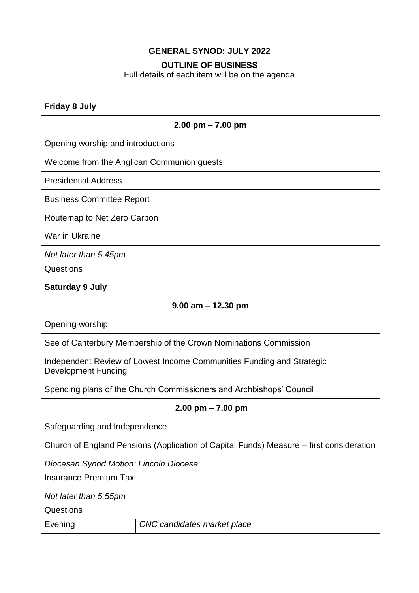# **GENERAL SYNOD: JULY 2022**

#### **OUTLINE OF BUSINESS**

Full details of each item will be on the agenda

| <b>Friday 8 July</b>                                                                                |                             |
|-----------------------------------------------------------------------------------------------------|-----------------------------|
| $2.00$ pm $- 7.00$ pm                                                                               |                             |
| Opening worship and introductions                                                                   |                             |
| Welcome from the Anglican Communion guests                                                          |                             |
| <b>Presidential Address</b>                                                                         |                             |
| <b>Business Committee Report</b>                                                                    |                             |
| Routemap to Net Zero Carbon                                                                         |                             |
| War in Ukraine                                                                                      |                             |
| Not later than 5.45pm                                                                               |                             |
| Questions                                                                                           |                             |
| <b>Saturday 9 July</b>                                                                              |                             |
| $9.00$ am $- 12.30$ pm                                                                              |                             |
| Opening worship                                                                                     |                             |
| See of Canterbury Membership of the Crown Nominations Commission                                    |                             |
| Independent Review of Lowest Income Communities Funding and Strategic<br><b>Development Funding</b> |                             |
| Spending plans of the Church Commissioners and Archbishops' Council                                 |                             |
| $2.00$ pm $- 7.00$ pm                                                                               |                             |
| Safeguarding and Independence                                                                       |                             |
| Church of England Pensions (Application of Capital Funds) Measure – first consideration             |                             |
| Diocesan Synod Motion: Lincoln Diocese                                                              |                             |
| <b>Insurance Premium Tax</b>                                                                        |                             |
| Not later than 5.55pm                                                                               |                             |
| Questions                                                                                           |                             |
| Evening                                                                                             | CNC candidates market place |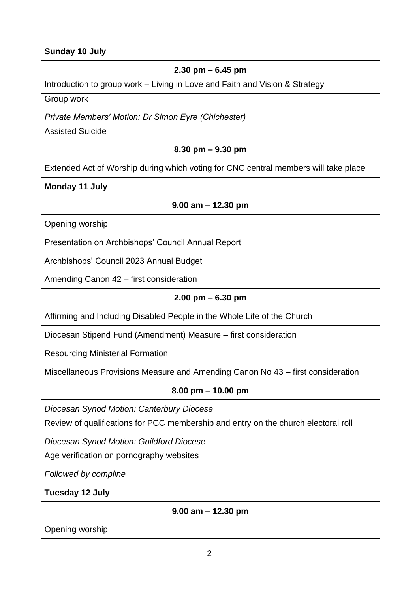#### **Sunday 10 July**

#### **2.30 pm – 6.45 pm**

Introduction to group work – Living in Love and Faith and Vision & Strategy

Group work

*Private Members' Motion: Dr Simon Eyre (Chichester)*

Assisted Suicide

### **8.30 pm – 9.30 pm**

Extended Act of Worship during which voting for CNC central members will take place

**Monday 11 July**

**9.00 am – 12.30 pm**

Opening worship

Presentation on Archbishops' Council Annual Report

Archbishops' Council 2023 Annual Budget

Amending Canon 42 – first consideration

## **2.00 pm – 6.30 pm**

Affirming and Including Disabled People in the Whole Life of the Church

Diocesan Stipend Fund (Amendment) Measure – first consideration

Resourcing Ministerial Formation

Miscellaneous Provisions Measure and Amending Canon No 43 – first consideration

## **8.00 pm – 10.00 pm**

*Diocesan Synod Motion: Canterbury Diocese*

Review of qualifications for PCC membership and entry on the church electoral roll

*Diocesan Synod Motion: Guildford Diocese*

Age verification on pornography websites

*Followed by compline*

**Tuesday 12 July**

**9.00 am – 12.30 pm** 

Opening worship